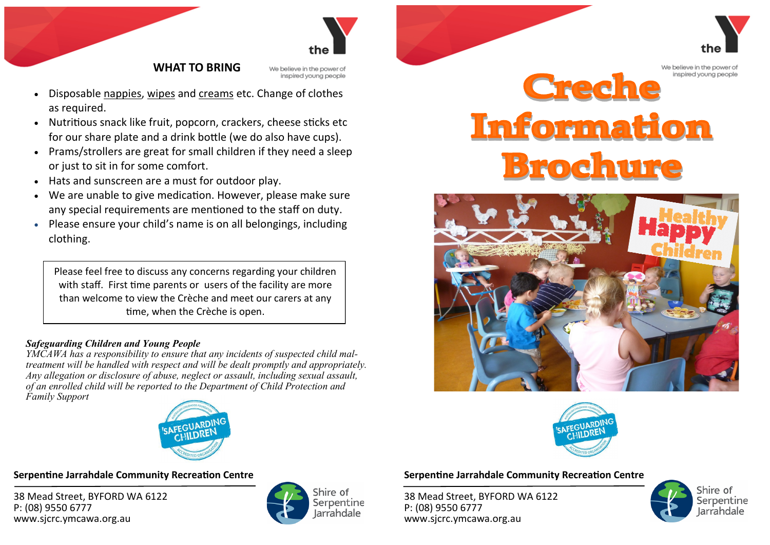

## **WHAT TO BRING**

We believe in the power of inspired young people

- Disposable nappies, wipes and creams etc. Change of clothes as required.
- Nutritious snack like fruit, popcorn, crackers, cheese sticks etc for our share plate and a drink bottle (we do also have cups).
- Prams/strollers are great for small children if they need a sleep or just to sit in for some comfort.
- Hats and sunscreen are a must for outdoor play.
- We are unable to give medication. However, please make sure any special requirements are mentioned to the staff on duty.
- Please ensure your child's name is on all belongings, including clothing.

Please feel free to discuss any concerns regarding your children with staff. First time parents or users of the facility are more than welcome to view the Crèche and meet our carers at any time, when the Crèche is open.

### *Safeguarding Children and Young People*

*YMCAWA has a responsibility to ensure that any incidents of suspected child maltreatment will be handled with respect and will be dealt promptly and appropriately. Any allegation or disclosure of abuse, neglect or assault, including sexual assault, of an enrolled child will be reported to the Department of Child Protection and Family Support*



**Serpentine Jarrahdale Community Recreation Centre** 

38 Mead Street, BYFORD WA 6122 P: (08) 9550 6777 www.sjcrc.ymcawa.org.au



## **Serpentine Jarrahdale Community Recreation Centre**

38 Mead Street, BYFORD WA 6122 P: (08) 9550 6777 www.sjcrc.ymcawa.org.au



Shire of Serpentine larrahdale

We believe in the power of inspired voung people

# Creche Information **Brochure**